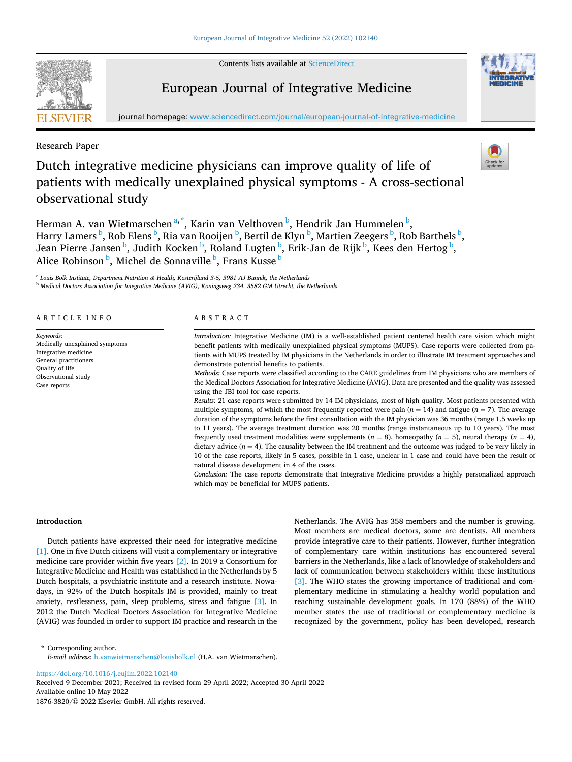Contents lists available at [ScienceDirect](www.sciencedirect.com/science/journal/18763820)



# European Journal of Integrative Medicine



Research Paper

# Dutch integrative medicine physicians can improve quality of life of patients with medically unexplained physical symptoms - A cross-sectional observational study



Herman A. van Wietmarschen<sup>a,\*</sup>, Karin van Velthoven<sup>b</sup>, Hendrik Jan Hummelen<sup>b</sup>, Harry Lamers <sup>b</sup>, Rob Elens <sup>b</sup>, Ria van Rooijen <sup>b</sup>, Bertil de Klyn <sup>b</sup>, Martien Zeegers <sup>b</sup>, Rob Barthels <sup>b</sup>, Jean Pierre Jansen <sup>b</sup>, Judith Kocken <sup>b</sup>, Roland Lugten <sup>b</sup>, Erik-Jan de Rijk <sup>b</sup>, Kees den Hertog <sup>b</sup>, Alice Robinson <sup>b</sup>, Michel de Sonnaville <sup>b</sup>, Frans Kusse <sup>b</sup>

<sup>a</sup> *Louis Bolk Institute, Department Nutrition & Health, Kosterijland 3-5, 3981 AJ Bunnik, the Netherlands* <sup>b</sup> *Medical Doctors Association for Integrative Medicine (AVIG), Koningsweg 234, 3582 GM Utrecht, the Netherlands* 

| ARTICLE INFO                                                                                                                                           | ABSTRACT                                                                                                                                                                                                                                                                                                                                                                                                                                                                                                                                                                                                                                                                                                                                                                                                                                                                                                                                                                                                                                                                                                                                                                                                                                                                                                                                                                                                                                                                                                                                                                    |
|--------------------------------------------------------------------------------------------------------------------------------------------------------|-----------------------------------------------------------------------------------------------------------------------------------------------------------------------------------------------------------------------------------------------------------------------------------------------------------------------------------------------------------------------------------------------------------------------------------------------------------------------------------------------------------------------------------------------------------------------------------------------------------------------------------------------------------------------------------------------------------------------------------------------------------------------------------------------------------------------------------------------------------------------------------------------------------------------------------------------------------------------------------------------------------------------------------------------------------------------------------------------------------------------------------------------------------------------------------------------------------------------------------------------------------------------------------------------------------------------------------------------------------------------------------------------------------------------------------------------------------------------------------------------------------------------------------------------------------------------------|
| Keywords:<br>Medically unexplained symptoms<br>Integrative medicine<br>General practitioners<br>Quality of life<br>Observational study<br>Case reports | Introduction: Integrative Medicine (IM) is a well-established patient centered health care vision which might<br>benefit patients with medically unexplained physical symptoms (MUPS). Case reports were collected from pa-<br>tients with MUPS treated by IM physicians in the Netherlands in order to illustrate IM treatment approaches and<br>demonstrate potential benefits to patients.<br><i>Methods:</i> Case reports were classified according to the CARE guidelines from IM physicians who are members of<br>the Medical Doctors Association for Integrative Medicine (AVIG). Data are presented and the quality was assessed<br>using the JBI tool for case reports.<br>Results: 21 case reports were submitted by 14 IM physicians, most of high quality. Most patients presented with<br>multiple symptoms, of which the most frequently reported were pain $(n = 14)$ and fatigue $(n = 7)$ . The average<br>duration of the symptoms before the first consultation with the IM physician was 36 months (range 1.5 weeks up<br>to 11 years). The average treatment duration was 20 months (range instantaneous up to 10 years). The most<br>frequently used treatment modalities were supplements $(n = 8)$ , homeopathy $(n = 5)$ , neural therapy $(n = 4)$ ,<br>dietary advice $(n = 4)$ . The causality between the IM treatment and the outcome was judged to be very likely in<br>10 of the case reports, likely in 5 cases, possible in 1 case, unclear in 1 case and could have been the result of<br>natural disease development in 4 of the cases. |
|                                                                                                                                                        | Conclusion: The case reports demonstrate that Integrative Medicine provides a highly personalized approach<br>which may be beneficial for MUPS patients.                                                                                                                                                                                                                                                                                                                                                                                                                                                                                                                                                                                                                                                                                                                                                                                                                                                                                                                                                                                                                                                                                                                                                                                                                                                                                                                                                                                                                    |

**Introduction** 

Dutch patients have expressed their need for integrative medicine [\[1\].](#page-5-0) One in five Dutch citizens will visit a complementary or integrative medicine care provider within five years [\[2\].](#page-5-0) In 2019 a Consortium for Integrative Medicine and Health was established in the Netherlands by 5 Dutch hospitals, a psychiatric institute and a research institute. Nowadays, in 92% of the Dutch hospitals IM is provided, mainly to treat anxiety, restlessness, pain, sleep problems, stress and fatigue [\[3\].](#page-5-0) In 2012 the Dutch Medical Doctors Association for Integrative Medicine (AVIG) was founded in order to support IM practice and research in the Netherlands. The AVIG has 358 members and the number is growing. Most members are medical doctors, some are dentists. All members provide integrative care to their patients. However, further integration of complementary care within institutions has encountered several barriers in the Netherlands, like a lack of knowledge of stakeholders and lack of communication between stakeholders within these institutions [\[3\].](#page-5-0) The WHO states the growing importance of traditional and complementary medicine in stimulating a healthy world population and reaching sustainable development goals. In 170 (88%) of the WHO member states the use of traditional or complementary medicine is recognized by the government, policy has been developed, research

\* Corresponding author. *E-mail address:* [h.vanwietmarschen@louisbolk.nl](mailto:h.vanwietmarschen@louisbolk.nl) (H.A. van Wietmarschen).

<https://doi.org/10.1016/j.eujim.2022.102140>

Available online 10 May 2022 1876-3820/© 2022 Elsevier GmbH. All rights reserved. Received 9 December 2021; Received in revised form 29 April 2022; Accepted 30 April 2022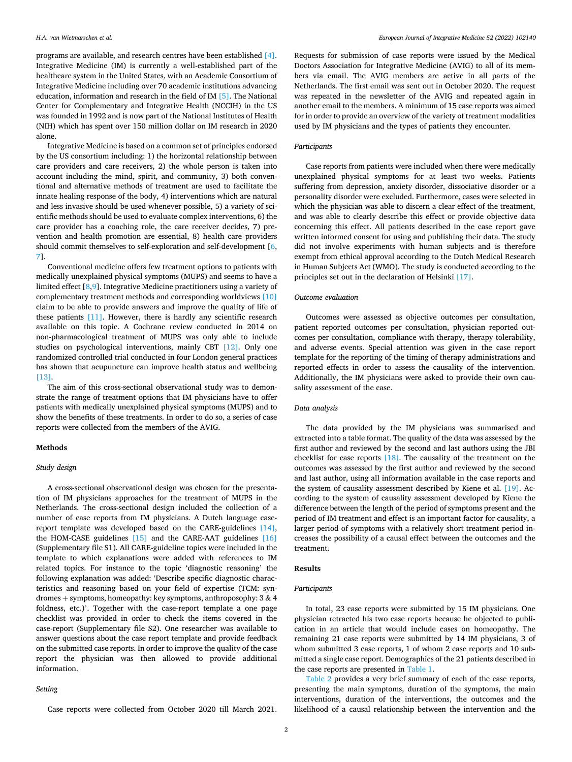programs are available, and research centres have been established [\[4\]](#page-5-0). Integrative Medicine (IM) is currently a well-established part of the healthcare system in the United States, with an Academic Consortium of Integrative Medicine including over 70 academic institutions advancing education, information and research in the field of IM [\[5\].](#page-5-0) The National Center for Complementary and Integrative Health (NCCIH) in the US was founded in 1992 and is now part of the National Institutes of Health (NIH) which has spent over 150 million dollar on IM research in 2020 alone.

Integrative Medicine is based on a common set of principles endorsed by the US consortium including: 1) the horizontal relationship between care providers and care receivers, 2) the whole person is taken into account including the mind, spirit, and community, 3) both conventional and alternative methods of treatment are used to facilitate the innate healing response of the body, 4) interventions which are natural and less invasive should be used whenever possible, 5) a variety of scientific methods should be used to evaluate complex interventions, 6) the care provider has a coaching role, the care receiver decides, 7) prevention and health promotion are essential, 8) health care providers should commit themselves to self-exploration and self-development [[6](#page-5-0), [7](#page-5-0)].

Conventional medicine offers few treatment options to patients with medically unexplained physical symptoms (MUPS) and seems to have a limited effect [\[8,9](#page-5-0)]. Integrative Medicine practitioners using a variety of complementary treatment methods and corresponding worldviews [\[10\]](#page-5-0)  claim to be able to provide answers and improve the quality of life of these patients [\[11\].](#page-5-0) However, there is hardly any scientific research available on this topic. A Cochrane review conducted in 2014 on non-pharmacological treatment of MUPS was only able to include studies on psychological interventions, mainly CBT [\[12\]](#page-5-0). Only one randomized controlled trial conducted in four London general practices has shown that acupuncture can improve health status and wellbeing [\[13\]](#page-5-0).

The aim of this cross-sectional observational study was to demonstrate the range of treatment options that IM physicians have to offer patients with medically unexplained physical symptoms (MUPS) and to show the benefits of these treatments. In order to do so, a series of case reports were collected from the members of the AVIG.

#### **Methods**

## *Study design*

A cross-sectional observational design was chosen for the presentation of IM physicians approaches for the treatment of MUPS in the Netherlands. The cross-sectional design included the collection of a number of case reports from IM physicians. A Dutch language casereport template was developed based on the CARE-guidelines [\[14\]](#page-5-0), the HOM-CASE guidelines [\[15\]](#page-5-0) and the CARE-AAT guidelines [\[16\]](#page-5-0)  (Supplementary file S1). All CARE-guideline topics were included in the template to which explanations were added with references to IM related topics. For instance to the topic 'diagnostic reasoning' the following explanation was added: 'Describe specific diagnostic characteristics and reasoning based on your field of expertise (TCM: syndromes + symptoms, homeopathy: key symptoms, anthroposophy: 3 & 4 foldness, etc.)'. Together with the case-report template a one page checklist was provided in order to check the items covered in the case-report (Supplementary file S2). One researcher was available to answer questions about the case report template and provide feedback on the submitted case reports. In order to improve the quality of the case report the physician was then allowed to provide additional information.

#### *Setting*

Case reports were collected from October 2020 till March 2021.

Requests for submission of case reports were issued by the Medical Doctors Association for Integrative Medicine (AVIG) to all of its members via email. The AVIG members are active in all parts of the Netherlands. The first email was sent out in October 2020. The request was repeated in the newsletter of the AVIG and repeated again in another email to the members. A minimum of 15 case reports was aimed for in order to provide an overview of the variety of treatment modalities used by IM physicians and the types of patients they encounter.

### *Participants*

Case reports from patients were included when there were medically unexplained physical symptoms for at least two weeks. Patients suffering from depression, anxiety disorder, dissociative disorder or a personality disorder were excluded. Furthermore, cases were selected in which the physician was able to discern a clear effect of the treatment, and was able to clearly describe this effect or provide objective data concerning this effect. All patients described in the case report gave written informed consent for using and publishing their data. The study did not involve experiments with human subjects and is therefore exempt from ethical approval according to the Dutch Medical Research in Human Subjects Act (WMO). The study is conducted according to the principles set out in the declaration of Helsinki [\[17\]](#page-5-0).

#### *Outcome evaluation*

Outcomes were assessed as objective outcomes per consultation, patient reported outcomes per consultation, physician reported outcomes per consultation, compliance with therapy, therapy tolerability, and adverse events. Special attention was given in the case report template for the reporting of the timing of therapy administrations and reported effects in order to assess the causality of the intervention. Additionally, the IM physicians were asked to provide their own causality assessment of the case.

#### *Data analysis*

The data provided by the IM physicians was summarised and extracted into a table format. The quality of the data was assessed by the first author and reviewed by the second and last authors using the JBI checklist for case reports  $[18]$ . The causality of the treatment on the outcomes was assessed by the first author and reviewed by the second and last author, using all information available in the case reports and the system of causality assessment described by Kiene et al. [\[19\].](#page-5-0) According to the system of causality assessment developed by Kiene the difference between the length of the period of symptoms present and the period of IM treatment and effect is an important factor for causality, a larger period of symptoms with a relatively short treatment period increases the possibility of a causal effect between the outcomes and the treatment.

# **Results**

## *Participants*

In total, 23 case reports were submitted by 15 IM physicians. One physician retracted his two case reports because he objected to publication in an article that would include cases on homeopathy. The remaining 21 case reports were submitted by 14 IM physicians, 3 of whom submitted 3 case reports, 1 of whom 2 case reports and 10 submitted a single case report. Demographics of the 21 patients described in the case reports are presented in [Table 1](#page-2-0).

[Table 2](#page-3-0) provides a very brief summary of each of the case reports, presenting the main symptoms, duration of the symptoms, the main interventions, duration of the interventions, the outcomes and the likelihood of a causal relationship between the intervention and the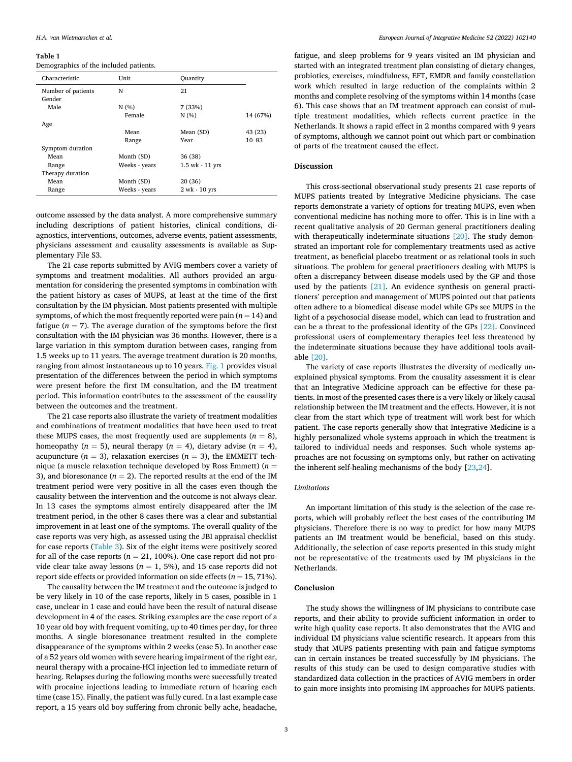#### <span id="page-2-0"></span>**Table 1**

Demographics of the included patients.

| Characteristic     | Unit          | Quantity        |           |
|--------------------|---------------|-----------------|-----------|
| Number of patients | N             | 21              |           |
| Gender             |               |                 |           |
| Male               | N(% )         | 7 (33%)         |           |
|                    | Female        | N(%)            | 14 (67%)  |
| Age                |               |                 |           |
|                    | Mean          | Mean (SD)       | 43 (23)   |
|                    | Range         | Year            | $10 - 83$ |
| Symptom duration   |               |                 |           |
| Mean               | Month (SD)    | 36 (38)         |           |
| Range              | Weeks - years | 1.5 wk - 11 yrs |           |
| Therapy duration   |               |                 |           |
| Mean               | Month (SD)    | 20 (36)         |           |
| Range              | Weeks - years | 2 wk - 10 yrs   |           |

outcome assessed by the data analyst. A more comprehensive summary including descriptions of patient histories, clinical conditions, diagnostics, interventions, outcomes, adverse events, patient assessments, physicians assessment and causality assessments is available as Supplementary File S3.

The 21 case reports submitted by AVIG members cover a variety of symptoms and treatment modalities. All authors provided an argumentation for considering the presented symptoms in combination with the patient history as cases of MUPS, at least at the time of the first consultation by the IM physician. Most patients presented with multiple symptoms, of which the most frequently reported were pain  $(n = 14)$  and fatigue ( $n = 7$ ). The average duration of the symptoms before the first consultation with the IM physician was 36 months. However, there is a large variation in this symptom duration between cases, ranging from 1.5 weeks up to 11 years. The average treatment duration is 20 months, ranging from almost instantaneous up to 10 years. [Fig. 1](#page-4-0) provides visual presentation of the differences between the period in which symptoms were present before the first IM consultation, and the IM treatment period. This information contributes to the assessment of the causality between the outcomes and the treatment.

The 21 case reports also illustrate the variety of treatment modalities and combinations of treatment modalities that have been used to treat these MUPS cases, the most frequently used are supplements  $(n = 8)$ , homeopathy ( $n = 5$ ), neural therapy ( $n = 4$ ), dietary advise ( $n = 4$ ), acupuncture  $(n = 3)$ , relaxation exercises  $(n = 3)$ , the EMMETT technique (a muscle relaxation technique developed by Ross Emmett) (*n* = 3), and bioresonance  $(n = 2)$ . The reported results at the end of the IM treatment period were very positive in all the cases even though the causality between the intervention and the outcome is not always clear. In 13 cases the symptoms almost entirely disappeared after the IM treatment period, in the other 8 cases there was a clear and substantial improvement in at least one of the symptoms. The overall quality of the case reports was very high, as assessed using the JBI appraisal checklist for case reports ([Table 3](#page-4-0)). Six of the eight items were positively scored for all of the case reports ( $n = 21, 100\%$ ). One case report did not provide clear take away lessons ( $n = 1$ , 5%), and 15 case reports did not report side effects or provided information on side effects  $(n = 15, 71\%)$ .

The causality between the IM treatment and the outcome is judged to be very likely in 10 of the case reports, likely in 5 cases, possible in 1 case, unclear in 1 case and could have been the result of natural disease development in 4 of the cases. Striking examples are the case report of a 10 year old boy with frequent vomiting, up to 40 times per day, for three months. A single bioresonance treatment resulted in the complete disappearance of the symptoms within 2 weeks (case 5). In another case of a 52 years old women with severe hearing impairment of the right ear, neural therapy with a procaine-HCl injection led to immediate return of hearing. Relapses during the following months were successfully treated with procaine injections leading to immediate return of hearing each time (case 15). Finally, the patient was fully cured. In a last example case report, a 15 years old boy suffering from chronic belly ache, headache,

fatigue, and sleep problems for 9 years visited an IM physician and started with an integrated treatment plan consisting of dietary changes, probiotics, exercises, mindfulness, EFT, EMDR and family constellation work which resulted in large reduction of the complaints within 2 months and complete resolving of the symptoms within 14 months (case 6). This case shows that an IM treatment approach can consist of multiple treatment modalities, which reflects current practice in the Netherlands. It shows a rapid effect in 2 months compared with 9 years of symptoms, although we cannot point out which part or combination of parts of the treatment caused the effect.

## **Discussion**

This cross-sectional observational study presents 21 case reports of MUPS patients treated by Integrative Medicine physicians. The case reports demonstrate a variety of options for treating MUPS, even when conventional medicine has nothing more to offer. This is in line with a recent qualitative analysis of 20 German general practitioners dealing with therapeutically indeterminate situations [\[20\]](#page-5-0). The study demonstrated an important role for complementary treatments used as active treatment, as beneficial placebo treatment or as relational tools in such situations. The problem for general practitioners dealing with MUPS is often a discrepancy between disease models used by the GP and those used by the patients [\[21\].](#page-5-0) An evidence synthesis on general practitioners' perception and management of MUPS pointed out that patients often adhere to a biomedical disease model while GPs see MUPS in the light of a psychosocial disease model, which can lead to frustration and can be a threat to the professional identity of the GPs [\[22\].](#page-5-0) Convinced professional users of complementary therapies feel less threatened by the indeterminate situations because they have additional tools available [\[20\]](#page-5-0).

The variety of case reports illustrates the diversity of medically unexplained physical symptoms. From the causality assessment it is clear that an Integrative Medicine approach can be effective for these patients. In most of the presented cases there is a very likely or likely causal relationship between the IM treatment and the effects. However, it is not clear from the start which type of treatment will work best for which patient. The case reports generally show that Integrative Medicine is a highly personalized whole systems approach in which the treatment is tailored to individual needs and responses. Such whole systems approaches are not focussing on symptoms only, but rather on activating the inherent self-healing mechanisms of the body [[23,24](#page-5-0)].

## *Limitations*

An important limitation of this study is the selection of the case reports, which will probably reflect the best cases of the contributing IM physicians. Therefore there is no way to predict for how many MUPS patients an IM treatment would be beneficial, based on this study. Additionally, the selection of case reports presented in this study might not be representative of the treatments used by IM physicians in the Netherlands.

## **Conclusion**

The study shows the willingness of IM physicians to contribute case reports, and their ability to provide sufficient information in order to write high quality case reports. It also demonstrates that the AVIG and individual IM physicians value scientific research. It appears from this study that MUPS patients presenting with pain and fatigue symptoms can in certain instances be treated successfully by IM physicians. The results of this study can be used to design comparative studies with standardized data collection in the practices of AVIG members in order to gain more insights into promising IM approaches for MUPS patients.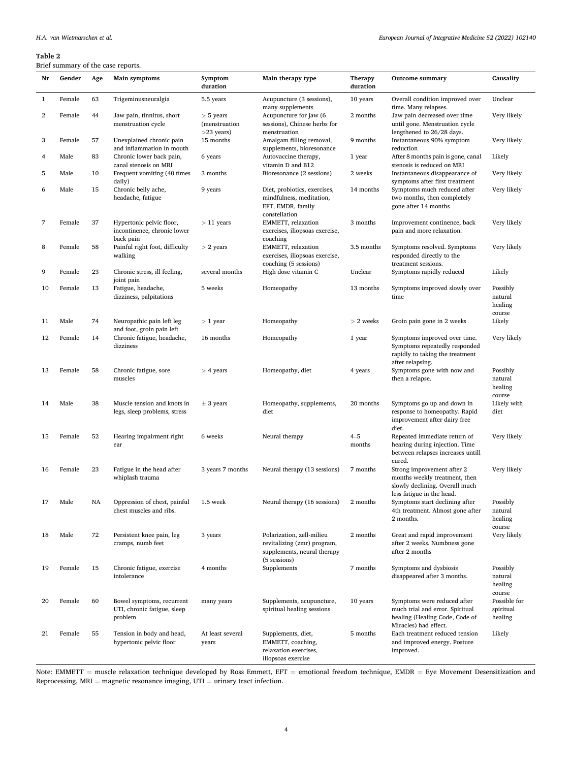## <span id="page-3-0"></span>**Table 2**

# Brief summary of the case reports.

|              |        |     | onci sunniary or the case reports.                                   |                                              |                                                                                                         |                            |                                                                                                                            |                                          |
|--------------|--------|-----|----------------------------------------------------------------------|----------------------------------------------|---------------------------------------------------------------------------------------------------------|----------------------------|----------------------------------------------------------------------------------------------------------------------------|------------------------------------------|
| Nr           | Gender | Age | Main symptoms                                                        | Symptom<br>duration                          | Main therapy type                                                                                       | <b>Therapy</b><br>duration | <b>Outcome summary</b>                                                                                                     | Causality                                |
| $\mathbf{1}$ | Female | 63  | Trigeminusneuralgia                                                  | 5.5 years                                    | Acupuncture (3 sessions),<br>many supplements                                                           | 10 years                   | Overall condition improved over<br>time. Many relapses.                                                                    | Unclear                                  |
| 2            | Female | 44  | Jaw pain, tinnitus, short<br>menstruation cycle                      | $>$ 5 years<br>(menstruation<br>$>23$ years) | Acupuncture for jaw (6<br>sessions), Chinese herbs for<br>menstruation                                  | 2 months                   | Jaw pain decreased over time<br>until gone. Menstruation cycle<br>lengthened to 26/28 days.                                | Very likely                              |
| 3            | Female | 57  | Unexplained chronic pain<br>and inflammation in mouth                | 15 months                                    | Amalgam filling removal,<br>supplements, bioresonance                                                   | 9 months                   | Instantaneous 90% symptom<br>reduction                                                                                     | Very likely                              |
| 4            | Male   | 83  | Chronic lower back pain,<br>canal stenosis on MRI                    | 6 years                                      | Autovaccine therapy,<br>vitamin D and B12                                                               | 1 year                     | After 8 months pain is gone, canal<br>stenosis is reduced on MRI                                                           | Likely                                   |
| 5            | Male   | 10  | Frequent vomiting (40 times<br>daily)                                | 3 months                                     | Bioresonance (2 sessions)                                                                               | 2 weeks                    | Instantaneous disappearance of<br>symptoms after first treatment                                                           | Very likely                              |
| 6            | Male   | 15  | Chronic belly ache,<br>headache, fatigue                             | 9 years                                      | Diet, probiotics, exercises,<br>mindfulness, meditation,<br>EFT, EMDR, family<br>constellation          | 14 months                  | Symptoms much reduced after<br>two months, then completely<br>gone after 14 months                                         | Very likely                              |
| 7            | Female | 37  | Hypertonic pelvic floor,<br>incontinence, chronic lower<br>back pain | $>$ 11 years                                 | EMMETT, relaxation<br>exercises, iliopsoas exercise,<br>coaching                                        | 3 months                   | Improvement continence, back<br>pain and more relaxation.                                                                  | Very likely                              |
| 8            | Female | 58  | Painful right foot, difficulty<br>walking                            | $> 2$ years                                  | EMMETT, relaxation<br>exercises, iliopsoas exercise,<br>coaching (5 sessions)                           | 3.5 months                 | Symptoms resolved. Symptoms<br>responded directly to the<br>treatment sessions.                                            | Very likely                              |
| 9            | Female | 23  | Chronic stress, ill feeling,<br>joint pain                           | several months                               | High dose vitamin C                                                                                     | Unclear                    | Symptoms rapidly reduced                                                                                                   | Likely                                   |
| 10           | Female | 13  | Fatigue, headache,<br>dizziness, palpitations                        | 5 weeks                                      | Homeopathy                                                                                              | 13 months                  | Symptoms improved slowly over<br>time                                                                                      | Possibly<br>natural<br>healing<br>course |
| 11           | Male   | 74  | Neuropathic pain left leg<br>and foot, groin pain left               | $> 1$ year                                   | Homeopathy                                                                                              | $> 2$ weeks                | Groin pain gone in 2 weeks                                                                                                 | Likely                                   |
| 12           | Female | 14  | Chronic fatigue, headache,<br>dizziness                              | 16 months                                    | Homeopathy                                                                                              | 1 year                     | Symptoms improved over time.<br>Symptoms repeatedly responded<br>rapidly to taking the treatment<br>after relapsing.       | Very likely                              |
| 13           | Female | 58  | Chronic fatigue, sore<br>muscles                                     | $>$ 4 years                                  | Homeopathy, diet                                                                                        | 4 years                    | Symptoms gone with now and<br>then a relapse.                                                                              | Possibly<br>natural<br>healing<br>course |
| 14           | Male   | 38  | Muscle tension and knots in<br>legs, sleep problems, stress          | $±$ 3 years                                  | Homeopathy, supplements,<br>diet                                                                        | 20 months                  | Symptoms go up and down in<br>response to homeopathy. Rapid<br>improvement after dairy free<br>diet.                       | Likely with<br>diet                      |
| 15           | Female | 52  | Hearing impairment right<br>ear                                      | 6 weeks                                      | Neural therapy                                                                                          | $4 - 5$<br>months          | Repeated immediate return of<br>hearing during injection. Time<br>between relapses increases untill<br>cured.              | Very likely                              |
| 16           | Female | 23  | Fatigue in the head after<br>whiplash trauma                         | 3 years 7 months                             | Neural therapy (13 sessions)                                                                            | 7 months                   | Strong improvement after 2<br>months weekly treatment, then<br>slowly declining. Overall much<br>less fatigue in the head. | Very likely                              |
| 17           | Male   | NA  | Oppression of chest, painful<br>chest muscles and ribs.              | 1.5 week                                     | Neural therapy (16 sessions)                                                                            | 2 months                   | Symptoms start declining after<br>4th treatment. Almost gone after<br>2 months.                                            | Possibly<br>natural<br>healing<br>course |
| 18           | Male   | 72  | Persistent knee pain, leg<br>cramps, numb feet                       | 3 years                                      | Polarization, zell-milieu<br>revitalizing (zmr) program,<br>supplements, neural therapy<br>(5 sessions) | 2 months                   | Great and rapid improvement<br>after 2 weeks. Numbness gone<br>after 2 months                                              | Very likely                              |
| 19           | Female | 15  | Chronic fatigue, exercise<br>intolerance                             | 4 months                                     | Supplements                                                                                             | 7 months                   | Symptoms and dysbiosis<br>disappeared after 3 months.                                                                      | Possibly<br>natural<br>healing<br>course |
| 20           | Female | 60  | Bowel symptoms, recurrent<br>UTI, chronic fatigue, sleep<br>problem  | many years                                   | Supplements, acupuncture,<br>spiritual healing sessions                                                 | 10 years                   | Symptoms were reduced after<br>much trial and error. Spiritual<br>healing (Healing Code, Code of<br>Miracles) had effect.  | Possible for<br>spiritual<br>healing     |
| 21           | Female | 55  | Tension in body and head,<br>hypertonic pelvic floor                 | At least several<br>years                    | Supplements, diet,<br>EMMETT, coaching,<br>relaxation exercises,                                        | 5 months                   | Each treatment reduced tension<br>and improved energy. Posture<br>improved.                                                | Likely                                   |

iliopsoas exercise Note: EMMETT = muscle relaxation technique developed by Ross Emmett, EFT = emotional freedom technique, EMDR = Eye Movement Desensitization and Reprocessing,  $\text{MRI} = \text{magnetic resonance imaging}, \, \text{UTI} = \text{urinary tract infection}.$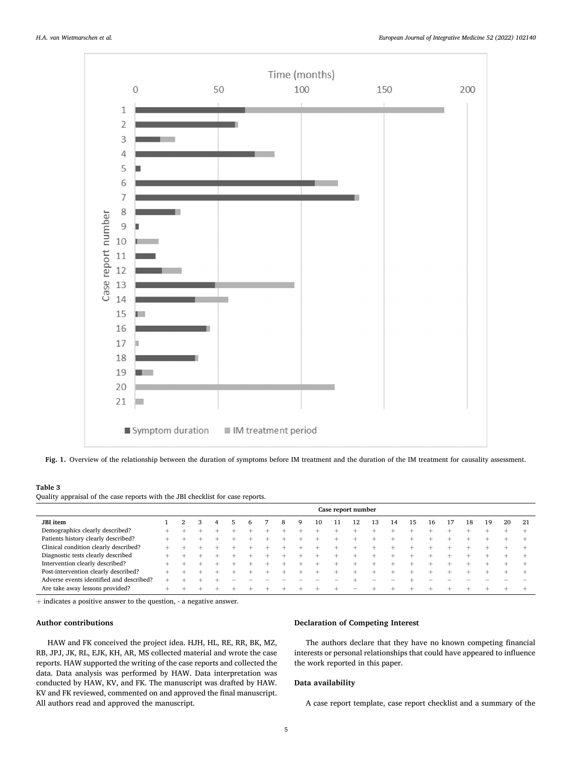<span id="page-4-0"></span>

**Fig. 1.** Overview of the relationship between the duration of symptoms before IM treatment and the duration of the IM treatment for causality assessment.

## **Table 3**

Quality appraisal of the case reports with the JBI checklist for case reports.

|                                          | Case report number |  |  |   |  |  |  |   |   |  |  |  |    |    |    |    |    |    |    |    |
|------------------------------------------|--------------------|--|--|---|--|--|--|---|---|--|--|--|----|----|----|----|----|----|----|----|
| <b>JBI</b> item                          |                    |  |  | 4 |  |  |  | 8 | Q |  |  |  | .3 | 14 | 15 | 16 | 18 | 19 | 20 | 21 |
| Demographics clearly described?          |                    |  |  |   |  |  |  |   |   |  |  |  |    |    |    |    |    |    |    |    |
| Patients history clearly described?      |                    |  |  |   |  |  |  |   |   |  |  |  |    |    |    |    |    |    |    |    |
| Clinical condition clearly described?    |                    |  |  |   |  |  |  |   |   |  |  |  |    |    |    |    |    |    |    |    |
| Diagnostic tests clearly described       |                    |  |  |   |  |  |  |   |   |  |  |  |    |    |    |    |    |    |    |    |
| Intervention clearly described?          |                    |  |  |   |  |  |  |   |   |  |  |  |    |    |    |    |    |    |    |    |
| Post-intervention clearly described?     |                    |  |  |   |  |  |  |   |   |  |  |  |    |    |    |    |    |    |    |    |
| Adverse events identified and described? |                    |  |  |   |  |  |  |   |   |  |  |  |    |    |    |    |    |    |    |    |
| Are take away lessons provided?          |                    |  |  |   |  |  |  |   |   |  |  |  |    |    |    |    |    |    |    |    |

+ indicates a positive answer to the question, - a negative answer.

## **Author contributions**

HAW and FK conceived the project idea. HJH, HL, RE, RR, BK, MZ, RB, JPJ, JK, RL, EJK, KH, AR, MS collected material and wrote the case reports. HAW supported the writing of the case reports and collected the data. Data analysis was performed by HAW. Data interpretation was conducted by HAW, KV, and FK. The manuscript was drafted by HAW. KV and FK reviewed, commented on and approved the final manuscript. All authors read and approved the manuscript.

## **Declaration of Competing Interest**

The authors declare that they have no known competing financial interests or personal relationships that could have appeared to influence the work reported in this paper.

## **Data availability**

A case report template, case report checklist and a summary of the